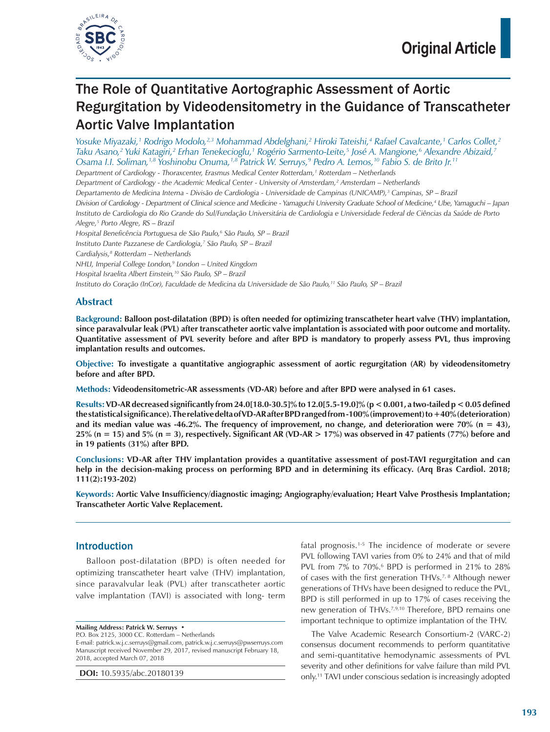

# The Role of Quantitative Aortographic Assessment of Aortic Regurgitation by Videodensitometry in the Guidance of Transcatheter Aortic Valve Implantation

*Yosuke Miyazaki,1 Rodrigo Modolo,2,3 Mohammad Abdelghani,2 Hiroki Tateishi,4 Rafael Cavalcante,1 Carlos Collet,2 Taku Asano,2 Yuki Katagiri,2 Erhan Tenekecioglu,1 Rogério Sarmento-Leite,5 José A. Mangione,6 Alexandre Abizaid,7 Osama I.I. Soliman,1,8 Yoshinobu Onuma,1,8 Patrick W. Serruys,9 Pedro A. Lemos,10 Fabio S. de Brito Jr.11 Department of Cardiology - Thoraxcenter, Erasmus Medical Center Rotterdam,1 Rotterdam – Netherlands* Department of Cardiology - the Academic Medical Center - University of Amsterdam,<sup>2</sup> Amsterdam – Netherlands *Departamento de Medicina Interna - Divisão de Cardiologia - Universidade de Campinas (UNICAMP),3 Campinas, SP – Brazil Division of Cardiology - Department of Clinical science and Medicine - Yamaguchi University Graduate School of Medicine,4 Ube, Yamaguchi – Japan Instituto de Cardiologia do Rio Grande do Sul/Fundação Universitária de Cardiologia e Universidade Federal de Ciências da Saúde de Porto Alegre,5 Porto Alegre, RS – Brazil Hospital Beneficência Portuguesa de São Paulo,6 São Paulo, SP – Brazil Instituto Dante Pazzanese de Cardiologia,7 São Paulo, SP – Brazil Cardialysis,8 Rotterdam – Netherlands NHLI, Imperial College London,9 London – United Kingdom Hospital Israelita Albert Einstein,10 São Paulo, SP – Brazil Instituto do Coração (InCor), Faculdade de Medicina da Universidade de São Paulo,11 São Paulo, SP – Brazil*

## **Abstract**

**Background: Balloon post-dilatation (BPD) is often needed for optimizing transcatheter heart valve (THV) implantation, since paravalvular leak (PVL) after transcatheter aortic valve implantation is associated with poor outcome and mortality. Quantitative assessment of PVL severity before and after BPD is mandatory to properly assess PVL, thus improving implantation results and outcomes.**

**Objective: To investigate a quantitative angiographic assessment of aortic regurgitation (AR) by videodensitometry before and after BPD.**

**Methods: Videodensitometric-AR assessments (VD-AR) before and after BPD were analysed in 61 cases.**

**Results: VD-AR decreased significantly from 24.0[18.0-30.5]% to 12.0[5.5-19.0]% (p < 0.001, a two-tailed p < 0.05 defined the statistical significance). The relative delta of VD-AR after BPD ranged from -100% (improvement) to +40% (deterioration) and its median value was -46.2%. The frequency of improvement, no change, and deterioration were 70% (n = 43), 25% (n = 15) and 5% (n = 3), respectively. Significant AR (VD-AR > 17%) was observed in 47 patients (77%) before and in 19 patients (31%) after BPD.**

**Conclusions: VD-AR after THV implantation provides a quantitative assessment of post-TAVI regurgitation and can help in the decision-making process on performing BPD and in determining its efficacy. (Arq Bras Cardiol. 2018; 111(2):193-202)**

**Keywords: Aortic Valve Insufficiency/diagnostic imaging; Angiography/evaluation; Heart Valve Prosthesis Implantation; Transcatheter Aortic Valve Replacement.**

## Introduction

Balloon post-dilatation (BPD) is often needed for optimizing transcatheter heart valve (THV) implantation, since paravalvular leak (PVL) after transcatheter aortic valve implantation (TAVI) is associated with long- term

**Mailing Address: Patrick W. Serruys •**

P.O. Box 2125, 3000 CC. Rotterdam – Netherlands

E-mail: patrick.w.j.c.serruys@gmail.com, patrick.w.j.c.serruys@pwserruys.com Manuscript received November 29, 2017, revised manuscript February 18, 2018, accepted March 07, 2018

**DOI:** 10.5935/abc.20180139

fatal prognosis.1-5 The incidence of moderate or severe PVL following TAVI varies from 0% to 24% and that of mild PVL from 7% to 70%.<sup>6</sup> BPD is performed in 21% to 28% of cases with the first generation THVs.7, 8 Although newer generations of THVs have been designed to reduce the PVL, BPD is still performed in up to 17% of cases receiving the new generation of THVs.7,9,10 Therefore, BPD remains one important technique to optimize implantation of the THV.

The Valve Academic Research Consortium-2 (VARC-2) consensus document recommends to perform quantitative and semi-quantitative hemodynamic assessments of PVL severity and other definitions for valve failure than mild PVL only.11 TAVI under conscious sedation is increasingly adopted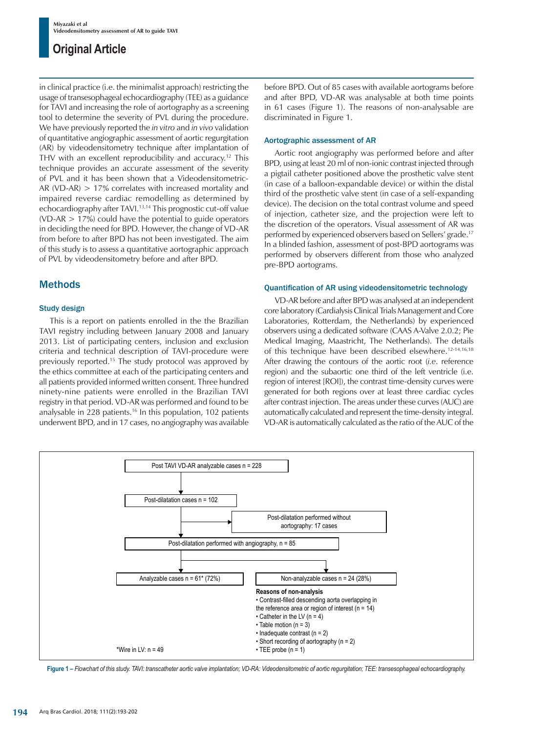in clinical practice (i.e. the minimalist approach) restricting the usage of transesophageal echocardiography (TEE) as a guidance for TAVI and increasing the role of aortography as a screening tool to determine the severity of PVL during the procedure. We have previously reported the *in vitro* and *in vivo* validation of quantitative angiographic assessment of aortic regurgitation (AR) by videodensitometry technique after implantation of THV with an excellent reproducibility and accuracy.12 This technique provides an accurate assessment of the severity of PVL and it has been shown that a Videodensitometric-AR (VD-AR) > 17% correlates with increased mortality and impaired reverse cardiac remodelling as determined by echocardiography after TAVI.13,14 This prognostic cut-off value  $(VD-AR > 17%)$  could have the potential to guide operators in deciding the need for BPD. However, the change of VD-AR from before to after BPD has not been investigated. The aim of this study is to assess a quantitative aortographic approach of PVL by videodensitometry before and after BPD.

## Methods

### Study design

This is a report on patients enrolled in the the Brazilian TAVI registry including between January 2008 and January 2013. List of participating centers, inclusion and exclusion criteria and technical description of TAVI-procedure were previously reported.15 The study protocol was approved by the ethics committee at each of the participating centers and all patients provided informed written consent. Three hundred ninety-nine patients were enrolled in the Brazilian TAVI registry in that period. VD-AR was performed and found to be analysable in 228 patients.16 In this population, 102 patients underwent BPD, and in 17 cases, no angiography was available before BPD. Out of 85 cases with available aortograms before and after BPD, VD-AR was analysable at both time points in 61 cases (Figure 1). The reasons of non-analysable are discriminated in Figure 1.

#### Aortographic assessment of AR

Aortic root angiography was performed before and after BPD, using at least 20 ml of non-ionic contrast injected through a pigtail catheter positioned above the prosthetic valve stent (in case of a balloon-expandable device) or within the distal third of the prosthetic valve stent (in case of a self-expanding device). The decision on the total contrast volume and speed of injection, catheter size, and the projection were left to the discretion of the operators. Visual assessment of AR was performed by experienced observers based on Sellers' grade.17 In a blinded fashion, assessment of post-BPD aortograms was performed by observers different from those who analyzed pre-BPD aortograms.

#### Quantification of AR using videodensitometric technology

VD-AR before and after BPD was analysed at an independent core laboratory (Cardialysis Clinical Trials Management and Core Laboratories, Rotterdam, the Netherlands) by experienced observers using a dedicated software (CAAS A-Valve 2.0.2; Pie Medical Imaging, Maastricht, The Netherlands). The details of this technique have been described elsewhere.<sup>12-14,16,18</sup> After drawing the contours of the aortic root (*i.e*. reference region) and the subaortic one third of the left ventricle (i.e. region of interest [ROI]), the contrast time-density curves were generated for both regions over at least three cardiac cycles after contrast injection. The areas under these curves (AUC) are automatically calculated and represent the time-density integral. VD-AR is automatically calculated as the ratio of the AUC of the



**Figure 1 –** *Flowchart of this study. TAVI: transcatheter aortic valve implantation; VD-RA: Videodensitometric of aortic regurgitation; TEE: transesophageal echocardiography.*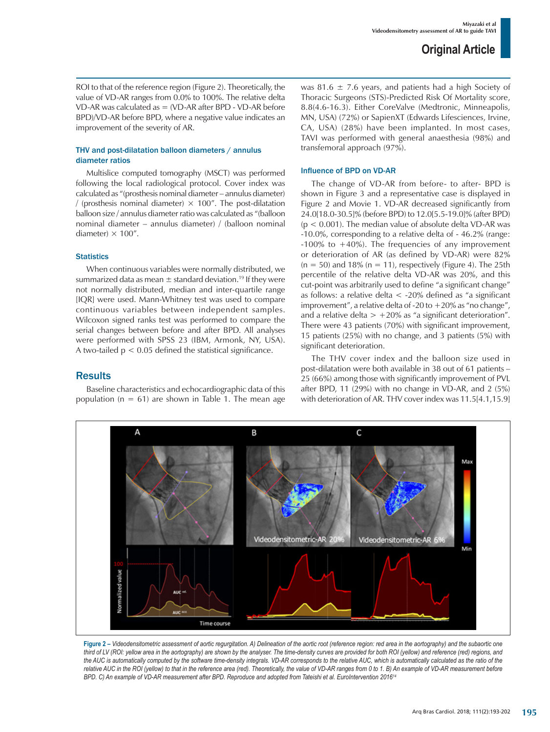ROI to that of the reference region (Figure 2). Theoretically, the value of VD-AR ranges from 0.0% to 100%. The relative delta VD-AR was calculated as = (VD-AR after BPD - VD-AR before BPD)/VD-AR before BPD, where a negative value indicates an improvement of the severity of AR.

### THV and post-dilatation balloon diameters / annulus diameter ratios

Multislice computed tomography (MSCT) was performed following the local radiological protocol. Cover index was calculated as "(prosthesis nominal diameter – annulus diameter) (prosthesis nominal diameter)  $\times$  100". The post-dilatation balloon size / annulus diameter ratio was calculated as "(balloon nominal diameter – annulus diameter) / (balloon nominal diameter)  $\times$  100".

#### **Statistics**

When continuous variables were normally distributed, we summarized data as mean  $\pm$  standard deviation.<sup>19</sup> If they were not normally distributed, median and inter-quartile range [IQR] were used. Mann-Whitney test was used to compare continuous variables between independent samples. Wilcoxon signed ranks test was performed to compare the serial changes between before and after BPD. All analyses were performed with SPSS 23 (IBM, Armonk, NY, USA). A two-tailed  $p < 0.05$  defined the statistical significance.

**Results** 

Baseline characteristics and echocardiographic data of this population ( $n = 61$ ) are shown in Table 1. The mean age was 81.6  $\pm$  7.6 years, and patients had a high Society of Thoracic Surgeons (STS)-Predicted Risk Of Mortality score, 8.8(4.6-16.3). Either CoreValve (Medtronic, Minneapolis, MN, USA) (72%) or SapienXT (Edwards Lifesciences, Irvine, CA, USA) (28%) have been implanted. In most cases, TAVI was performed with general anaesthesia (98%) and transfemoral approach (97%).

### Influence of BPD on VD-AR

The change of VD-AR from before- to after- BPD is shown in Figure 3 and a representative case is displayed in Figure 2 and Movie 1. VD-AR decreased significantly from 24.0[18.0-30.5]% (before BPD) to 12.0[5.5-19.0]% (after BPD)  $(p < 0.001)$ . The median value of absolute delta VD-AR was -10.0%, corresponding to a relative delta of - 46.2% (range: -100% to  $+40$ %). The frequencies of any improvement or deterioration of AR (as defined by VD-AR) were 82%  $(n = 50)$  and 18%  $(n = 11)$ , respectively (Figure 4). The 25th percentile of the relative delta VD-AR was 20%, and this cut-point was arbitrarily used to define "a significant change" as follows: a relative delta  $\lt$  -20% defined as "a significant improvement", a relative delta of -20 to  $+20\%$  as "no change", and a relative delta  $> +20\%$  as "a significant deterioration". There were 43 patients (70%) with significant improvement, 15 patients (25%) with no change, and 3 patients (5%) with significant deterioration.

The THV cover index and the balloon size used in post-dilatation were both available in 38 out of 61 patients – 25 (66%) among those with significantly improvement of PVL after BPD, 11 (29%) with no change in VD-AR, and 2 (5%) with deterioration of AR. THV cover index was 11.5[4.1,15.9]



**Figure 2 –** *Videodensitometric assessment of aortic regurgitation. A) Delineation of the aortic root (reference region: red area in the aortography) and the subaortic one third of LV (ROI: yellow area in the aortography) are shown by the analyser. The time-density curves are provided for both ROI (yellow) and reference (red) regions, and the AUC is automatically computed by the software time-density integrals. VD-AR corresponds to the relative AUC, which is automatically calculated as the ratio of the*  relative AUC in the ROI (yellow) to that in the reference area (red). Theoretically, the value of VD-AR ranges from 0 to 1. B) An example of VD-AR measurement before *BPD. C) An example of VD-AR measurement after BPD. Reproduce and adopted from Tateishi et al. EuroIntervention 201614*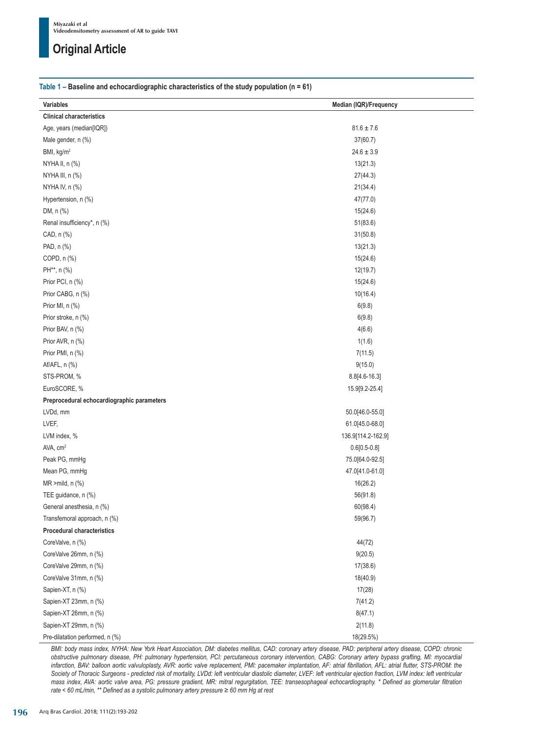### **Table 1 – Baseline and echocardiographic characteristics of the study population (n = 61)**

| Variables                                  | Median (IQR)/Frequency |
|--------------------------------------------|------------------------|
| <b>Clinical characteristics</b>            |                        |
| Age, years (median[IQR])                   | $81.6 \pm 7.6$         |
| Male gender, n (%)                         | 37(60.7)               |
| BMI, kg/m <sup>2</sup>                     | $24.6 \pm 3.9$         |
| NYHA II, n (%)                             | 13(21.3)               |
| NYHA III, n (%)                            | 27(44.3)               |
| NYHA IV, n (%)                             | 21(34.4)               |
| Hypertension, n (%)                        | 47(77.0)               |
| DM, n (%)                                  | 15(24.6)               |
| Renal insufficiency*, n (%)                | 51(83.6)               |
| CAD, n (%)                                 | 31(50.8)               |
| PAD, n (%)                                 | 13(21.3)               |
| COPD, n (%)                                | 15(24.6)               |
| PH**, n (%)                                | 12(19.7)               |
| Prior PCI, n (%)                           | 15(24.6)               |
| Prior CABG, n (%)                          | 10(16.4)               |
| Prior MI, n (%)                            | 6(9.8)                 |
|                                            |                        |
| Prior stroke, n (%)                        | 6(9.8)                 |
| Prior BAV, n (%)                           | 4(6.6)                 |
| Prior AVR, n (%)                           | 1(1.6)                 |
| Prior PMI, n (%)                           | 7(11.5)                |
| Af/AFL, n (%)                              | 9(15.0)                |
| STS-PROM, %                                | $8.8[4.6-16.3]$        |
| EuroSCORE, %                               | 15.9[9.2-25.4]         |
| Preprocedural echocardiographic parameters |                        |
| LVDd, mm                                   | 50.0[46.0-55.0]        |
| LVEF,                                      | 61.0[45.0-68.0]        |
| LVM index, %                               | 136.9[114.2-162.9]     |
| AVA, cm <sup>2</sup>                       | $0.6[0.5-0.8]$         |
| Peak PG, mmHg                              | 75.0[64.0-92.5]        |
| Mean PG, mmHg                              | 47.0[41.0-61.0]        |
| $MR > mild, n (\%)$                        | 16(26.2)               |
| TEE guidance, n (%)                        | 56(91.8)               |
| General anesthesia, n (%)                  | 60(98.4)               |
| Transfemoral approach, n (%)               | 59(96.7)               |
| <b>Procedural characteristics</b>          |                        |
| CoreValve, n (%)                           | 44(72)                 |
| CoreValve 26mm, n (%)                      | 9(20.5)                |
| CoreValve 29mm, n (%)                      | 17(38.6)               |
| CoreValve 31mm, n (%)                      | 18(40.9)               |
| Sapien-XT, n (%)                           | 17(28)                 |
| Sapien-XT 23mm, n (%)                      | 7(41.2)                |
| Sapien-XT 26mm, n (%)                      | 8(47.1)                |
| Sapien-XT 29mm, n (%)                      | 2(11.8)                |
| Pre-dilatation performed, n (%)            | 18(29.5%)              |

*BMI: body mass index, NYHA: New York Heart Association, DM: diabetes mellitus, CAD: coronary artery disease, PAD: peripheral artery disease, COPD: chronic obstructive pulmonary disease, PH: pulmonary hypertension, PCI: percutaneous coronary intervention, CABG: Coronary artery bypass grafting, MI: myocardial*  infarction, BAV: balloon aortic valvuloplasty, AVR: aortic valve replacement, PMI: pacemaker implantation, AF: atrial fibrillation, AFL: atrial flutter, STS-PROM: the Society of Thoracic Surgeons - predicted risk of mortality, LVDd: left ventricular diastolic diameter, LVEF: left ventricular ejection fraction, LVM index: left ventricular *mass index, AVA: aortic valve area, PG: pressure gradient, MR: mitral regurgitation, TEE: transesophageal echocardiography. \* Defined as glomerular filtration rate < 60 mL/min, \*\* Defined as a systolic pulmonary artery pressure ≥ 60 mm Hg at rest*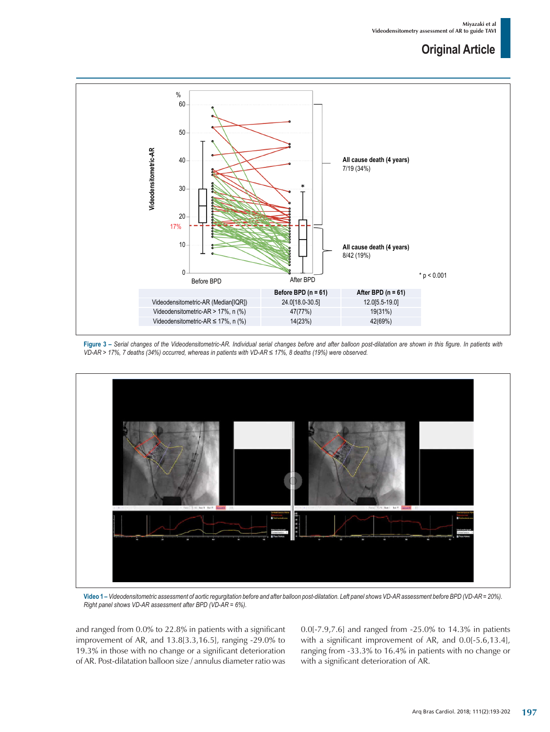

**Figure 3 –** *Serial changes of the Videodensitometric-AR. Individual serial changes before and after balloon post-dilatation are shown in this figure. In patients with VD‑AR > 17%, 7 deaths (34%) occurred, whereas in patients with VD-AR ≤ 17%, 8 deaths (19%) were observed.*



**Video 1 –** *Videodensitometric assessment of aortic regurgitation before and after balloon post-dilatation. Left panel shows VD-AR assessment before BPD (VD-AR = 20%). Right panel shows VD-AR assessment after BPD (VD-AR = 6%).*

and ranged from 0.0% to 22.8% in patients with a significant improvement of AR, and 13.8[3.3,16.5], ranging -29.0% to 19.3% in those with no change or a significant deterioration of AR. Post-dilatation balloon size / annulus diameter ratio was 0.0[-7.9,7.6] and ranged from -25.0% to 14.3% in patients with a significant improvement of AR, and 0.0[-5.6,13.4], ranging from -33.3% to 16.4% in patients with no change or with a significant deterioration of AR.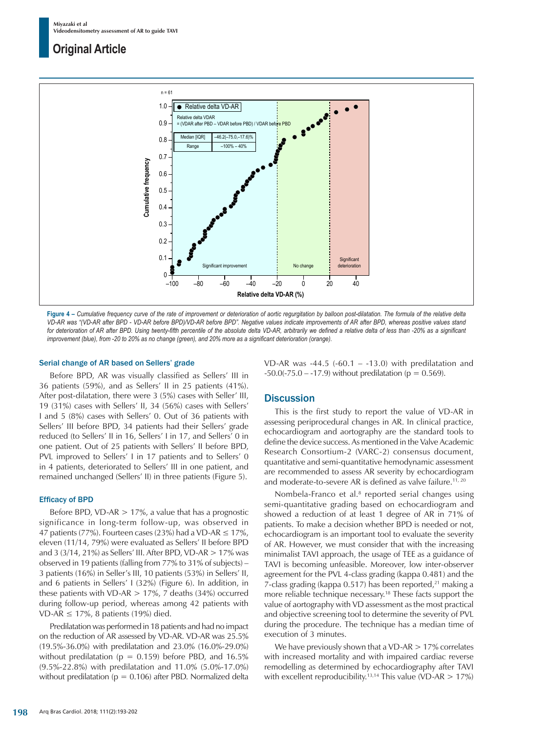

Figure 4 - Cumulative frequency curve of the rate of improvement or deterioration of aortic regurgitation by balloon post-dilatation. The formula of the relative delta *VD-AR was "(VD-AR after BPD - VD-AR before BPD)/VD-AR before BPD". Negative values indicate improvements of AR after BPD, whereas positive values stand*  for deterioration of AR after BPD. Using twenty-fifth percentile of the absolute delta VD-AR, arbitrarily we defined a relative delta of less than -20% as a significant *improvement (blue), from -20 to 20% as no change (green), and 20% more as a significant deterioration (orange).*

#### Serial change of AR based on Sellers' grade

Before BPD, AR was visually classified as Sellers' III in 36 patients (59%), and as Sellers' II in 25 patients (41%). After post-dilatation, there were 3 (5%) cases with Seller' III, 19 (31%) cases with Sellers' II, 34 (56%) cases with Sellers' I and 5 (8%) cases with Sellers' 0. Out of 36 patients with Sellers' III before BPD, 34 patients had their Sellers' grade reduced (to Sellers' II in 16, Sellers' I in 17, and Sellers' 0 in one patient. Out of 25 patients with Sellers' II before BPD, PVL improved to Sellers' I in 17 patients and to Sellers' 0 in 4 patients, deteriorated to Sellers' III in one patient, and remained unchanged (Sellers' II) in three patients (Figure 5).

#### Efficacy of BPD

Before BPD, VD-AR  $> 17\%$ , a value that has a prognostic significance in long-term follow-up, was observed in 47 patients (77%). Fourteen cases (23%) had a VD-AR  $\leq$  17%, eleven (11/14, 79%) were evaluated as Sellers' II before BPD and 3 (3/14, 21%) as Sellers' III. After BPD, VD-AR  $> 17\%$  was observed in 19 patients (falling from 77% to 31% of subjects) – 3 patients (16%) in Seller's III, 10 patients (53%) in Sellers' II, and 6 patients in Sellers' I (32%) (Figure 6). In addition, in these patients with VD-AR  $> 17\%$ , 7 deaths (34%) occurred during follow-up period, whereas among 42 patients with VD-AR  $\leq$  17%, 8 patients (19%) died.

Predilatation was performed in 18 patients and had no impact on the reduction of AR assessed by VD-AR. VD-AR was 25.5% (19.5%-36.0%) with predilatation and 23.0% (16.0%-29.0%) without predilatation ( $p = 0.159$ ) before PBD, and 16.5% (9.5%-22.8%) with predilatation and 11.0% (5.0%-17.0%) without predilatation ( $p = 0.106$ ) after PBD. Normalized delta VD-AR was  $-44.5$  ( $-60.1 - 13.0$ ) with predilatation and  $-50.0(-75.0 - 17.9)$  without predilatation (p = 0.569).

### **Discussion**

This is the first study to report the value of VD-AR in assessing periprocedural changes in AR. In clinical practice, echocardiogram and aortography are the standard tools to define the device success. As mentioned in the Valve Academic Research Consortium-2 (VARC-2) consensus document, quantitative and semi-quantitative hemodynamic assessment are recommended to assess AR severity by echocardiogram and moderate-to-severe AR is defined as valve failure.<sup>11, 20</sup>

Nombela-Franco et al.<sup>8</sup> reported serial changes using semi-quantitative grading based on echocardiogram and showed a reduction of at least 1 degree of AR in 71% of patients. To make a decision whether BPD is needed or not, echocardiogram is an important tool to evaluate the severity of AR. However, we must consider that with the increasing minimalist TAVI approach, the usage of TEE as a guidance of TAVI is becoming unfeasible. Moreover, low inter-observer agreement for the PVL 4-class grading (kappa 0.481) and the 7-class grading (kappa 0.517) has been reported, $21$  making a more reliable technique necessary.18 These facts support the value of aortography with VD assessment as the most practical and objective screening tool to determine the severity of PVL during the procedure. The technique has a median time of execution of 3 minutes.

We have previously shown that a VD-AR  $> 17\%$  correlates with increased mortality and with impaired cardiac reverse remodelling as determined by echocardiography after TAVI with excellent reproducibility.<sup>13,14</sup> This value (VD-AR  $> 17\%$ )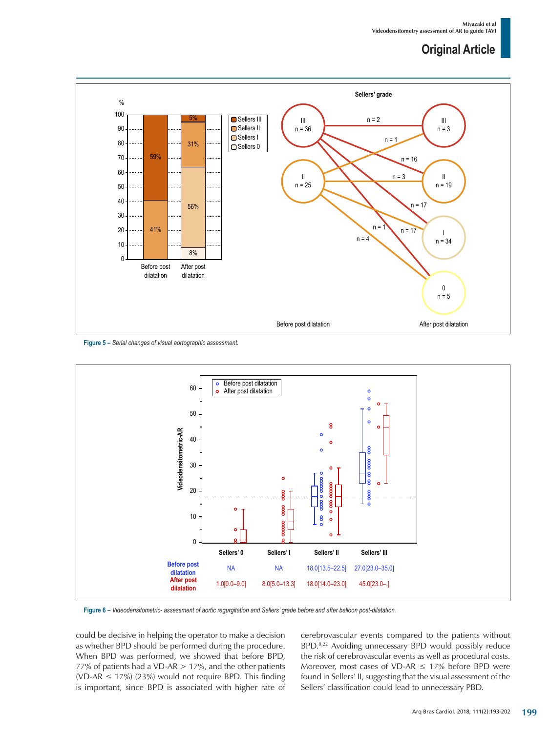

**Figure 5 –** *Serial changes of visual aortographic assessment.*



**Figure 6 –** *Videodensitometric- assessment of aortic regurgitation and Sellers' grade before and after balloon post-dilatation.*

could be decisive in helping the operator to make a decision as whether BPD should be performed during the procedure. When BPD was performed, we showed that before BPD, 77% of patients had a VD-AR  $> 17$ %, and the other patients (VD-AR  $\leq$  17%) (23%) would not require BPD. This finding is important, since BPD is associated with higher rate of cerebrovascular events compared to the patients without BPD.8,22 Avoiding unnecessary BPD would possibly reduce the risk of cerebrovascular events as well as procedural costs. Moreover, most cases of VD-AR  $\leq$  17% before BPD were found in Sellers' II, suggesting that the visual assessment of the Sellers' classification could lead to unnecessary PBD.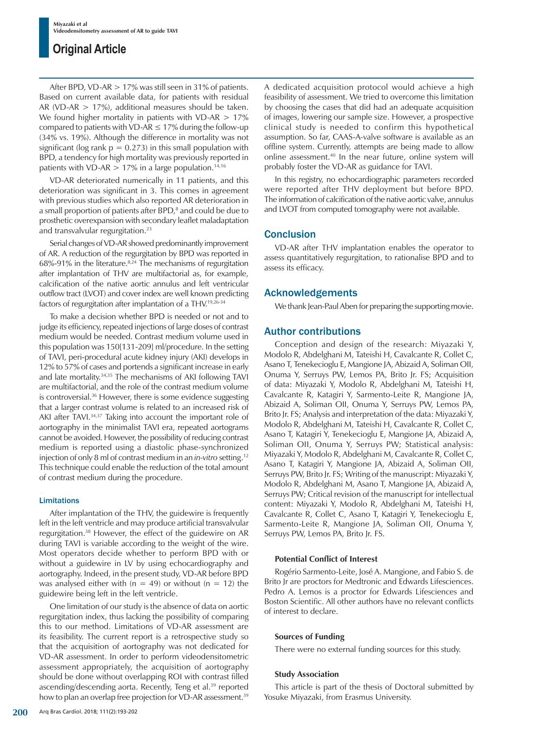After BPD, VD-AR > 17% was still seen in 31% of patients. Based on current available data, for patients with residual AR (VD-AR  $> 17\%$ ), additional measures should be taken. We found higher mortality in patients with VD-AR  $> 17\%$ compared to patients with VD-AR  $\leq$  17% during the follow-up (34% vs. 19%). Although the difference in mortality was not significant (log rank  $p = 0.273$ ) in this small population with BPD, a tendency for high mortality was previously reported in patients with VD-AR  $> 17\%$  in a large population.<sup>14,16</sup>

VD-AR deteriorated numerically in 11 patients, and this deterioration was significant in 3. This comes in agreement with previous studies which also reported AR deterioration in a small proportion of patients after BPD,<sup>8</sup> and could be due to prosthetic overexpansion with secondary leaflet maladaptation and transvalvular regurgitation.23

Serial changes of VD-AR showed predominantly improvement of AR. A reduction of the regurgitation by BPD was reported in 68%-91% in the literature. $8,24$  The mechanisms of regurgitation after implantation of THV are multifactorial as, for example, calcification of the native aortic annulus and left ventricular outflow tract (LVOT) and cover index are well known predicting factors of regurgitation after implantation of a THV.19,26-34

To make a decision whether BPD is needed or not and to judge its efficiency, repeated injections of large doses of contrast medium would be needed. Contrast medium volume used in this population was 150[131-209] ml/procedure. In the setting of TAVI, peri-procedural acute kidney injury (AKI) develops in 12% to 57% of cases and portends a significant increase in early and late mortality.34,35 The mechanisms of AKI following TAVI are multifactorial, and the role of the contrast medium volume is controversial.<sup>36</sup> However, there is some evidence suggesting that a larger contrast volume is related to an increased risk of AKI after TAVI.<sup>34,37</sup> Taking into account the important role of aortography in the minimalist TAVI era, repeated aortograms cannot be avoided. However, the possibility of reducing contrast medium is reported using a diastolic phase-synchronized injection of only 8 ml of contrast medium in an *in-vitro* setting.12 This technique could enable the reduction of the total amount of contrast medium during the procedure.

#### Limitations

After implantation of the THV, the guidewire is frequently left in the left ventricle and may produce artificial transvalvular regurgitation.38 However, the effect of the guidewire on AR during TAVI is variable according to the weight of the wire. Most operators decide whether to perform BPD with or without a guidewire in LV by using echocardiography and aortography. Indeed, in the present study, VD-AR before BPD was analysed either with ( $n = 49$ ) or without ( $n = 12$ ) the guidewire being left in the left ventricle.

One limitation of our study is the absence of data on aortic regurgitation index, thus lacking the possibility of comparing this to our method. Limitations of VD-AR assessment are its feasibility. The current report is a retrospective study so that the acquisition of aortography was not dedicated for VD-AR assessment. In order to perform videodensitometric assessment appropriately, the acquisition of aortography should be done without overlapping ROI with contrast filled ascending/descending aorta. Recently, Teng et al.<sup>39</sup> reported how to plan an overlap free projection for VD-AR assessment.<sup>39</sup> A dedicated acquisition protocol would achieve a high feasibility of assessment. We tried to overcome this limitation by choosing the cases that did had an adequate acquisition of images, lowering our sample size. However, a prospective clinical study is needed to confirm this hypothetical assumption. So far, CAAS-A-valve software is available as an offline system. Currently, attempts are being made to allow online assessment.40 In the near future, online system will probably foster the VD-AR as guidance for TAVI.

In this registry, no echocardiographic parameters recorded were reported after THV deployment but before BPD. The information of calcification of the native aortic valve, annulus and LVOT from computed tomography were not available.

## **Conclusion**

VD-AR after THV implantation enables the operator to assess quantitatively regurgitation, to rationalise BPD and to assess its efficacy.

## Acknowledgements

We thank Jean-Paul Aben for preparing the supporting movie.

## Author contributions

Conception and design of the research: Miyazaki Y, Modolo R, Abdelghani M, Tateishi H, Cavalcante R, Collet C, Asano T, Tenekecioglu E, Mangione JA, Abizaid A, Soliman OII, Onuma Y, Serruys PW, Lemos PA, Brito Jr. FS; Acquisition of data: Miyazaki Y, Modolo R, Abdelghani M, Tateishi H, Cavalcante R, Katagiri Y, Sarmento-Leite R, Mangione JA, Abizaid A, Soliman OII, Onuma Y, Serruys PW, Lemos PA, Brito Jr. FS; Analysis and interpretation of the data: Miyazaki Y, Modolo R, Abdelghani M, Tateishi H, Cavalcante R, Collet C, Asano T, Katagiri Y, Tenekecioglu E, Mangione JA, Abizaid A, Soliman OII, Onuma Y, Serruys PW; Statistical analysis: Miyazaki Y, Modolo R, Abdelghani M, Cavalcante R, Collet C, Asano T, Katagiri Y, Mangione JA, Abizaid A, Soliman OII, Serruys PW, Brito Jr. FS; Writing of the manuscript: Miyazaki Y, Modolo R, Abdelghani M, Asano T, Mangione JA, Abizaid A, Serruys PW; Critical revision of the manuscript for intellectual content: Miyazaki Y, Modolo R, Abdelghani M, Tateishi H, Cavalcante R, Collet C, Asano T, Katagiri Y, Tenekecioglu E, Sarmento-Leite R, Mangione JA, Soliman OII, Onuma Y, Serruys PW, Lemos PA, Brito Jr. FS.

## **Potential Conflict of Interest**

Rogério Sarmento-Leite, José A. Mangione, and Fabio S. de Brito Jr are proctors for Medtronic and Edwards Lifesciences. Pedro A. Lemos is a proctor for Edwards Lifesciences and Boston Scientific. All other authors have no relevant conflicts of interest to declare.

### **Sources of Funding**

There were no external funding sources for this study.

### **Study Association**

This article is part of the thesis of Doctoral submitted by Yosuke Miyazaki, from Erasmus University.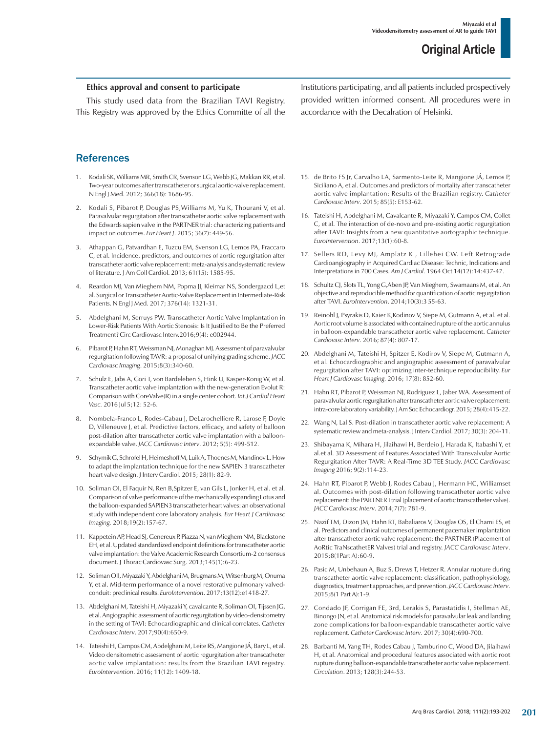### **Ethics approval and consent to participate**

This study used data from the Brazilian TAVI Registry. This Registry was approved by the Ethics Committe of all the

## **References**

- 1. Kodali SK, Williams MR, Smith CR, Svenson LG, Webb JG, Makkan RR, et al. Two-year outcomes after transcatheter or surgical aortic-valve replacement. N Engl J Med. 2012; 366(18): 1686-95.
- 2. Kodali S, Pibarot P, Douglas PS,Williams M, Yu K, Thourani V, et al. Paravalvular regurgitation after transcatheter aortic valve replacement with the Edwards sapien valve in the PARTNER trial: characterizing patients and impact on outcomes. *Eur Heart J*. 2015; 36(7): 449-56.
- 3. Athappan G, Patvardhan E, Tuzcu EM, Svenson LG, Lemos PA, Fraccaro C, et al. Incidence, predictors, and outcomes of aortic regurgitation after transcatheter aortic valve replacement: meta-analysis and systematic review of literature. J Am Coll Cardiol. 2013; 61(15): 1585-95.
- 4. Reardon MJ, Van Mieghem NM, Popma JJ, Kleimar NS, Sondergaacd L,et al. Surgical or Transcatheter Aortic-Valve Replacement in Intermediate-Risk Patients. N Engl J Med. 2017; 376(14): 1321-31.
- 5. Abdelghani M, Serruys PW. Transcatheter Aortic Valve Implantation in Lower-Risk Patients With Aortic Stenosis: Is It Justified to Be the Preferred Treatment? Circ Cardiovasc Interv.2016;9(4): e002944.
- 6. Pibarot P, Hahn RT, Weissman NJ, Monaghan MJ. Assessment of paravalvular regurgitation following TAVR: a proposal of unifying grading scheme. *JACC Cardiovasc Imaging*. 2015;8(3):340-60.
- 7. Schulz E, Jabs A, Gori T, von Bardeleben S, Hink U, Kasper-Konig W, et al. Transcatheter aortic valve implantation with the new-generation Evolut R: Comparison with CoreValve(R) in a single center cohort. *Int.J Cardiol Heart Vasc.* 2016 Jul 5;12: 52-6.
- 8. Nombela-Franco L, Rodes-Cabau J, DeLarochelliere R, Larose F, Doyle D, Villeneuve J, et al. Predictive factors, efficacy, and safety of balloon post-dilation after transcatheter aortic valve implantation with a balloonexpandable valve. *JACC Cardiovasc Interv*. 2012; 5(5): 499-512.
- Schymik G, Schrofel H, Heimeshoff M, Luik A, Thoenes M, Mandinov L. How to adapt the implantation technique for the new SAPIEN 3 transcatheter heart valve design. J Interv Cardiol. 2015; 28(1): 82-9.
- 10. Soliman OI, El Faquir N, Ren B,Spitzer E, van Gils L, Jonker H, et al. et al. Comparison of valve performance of the mechanically expanding Lotus and the balloon-expanded SAPIEN3 transcatheter heart valves: an observational study with independent core laboratory analysis. *Eur Heart J Cardiovasc Imaging.* 2018;19(2):157-67.
- 11. Kappetein AP, Head SJ, Genereux P, Piazza N, van Mieghem NM, Blackstone EH, et al. Updated standardized endpoint definitions for transcatheter aortic valve implantation: the Valve Academic Research Consortium-2 consensus document. J Thorac Cardiovasc Surg. 2013;145(1):6-23.
- 12. Soliman OII, Miyazaki Y, Abdelghani M, Brugmans M, Witsenburg M, Onuma Y, et al. Mid-term performance of a novel restorative pulmonary valvedconduit: preclinical results. *EuroIntervention*. 2017;13(12):e1418-27.
- 13. Abdelghani M, Tateishi H, Miyazaki Y, cavalcante R, Soliman OI, Tijssen JG, et al. Angiographic assessment of aortic regurgitation by video-densitometry in the setting of TAVI: Echocardiographic and clinical correlates. *Catheter Cardiovasc Interv*. 2017;90(4):650-9.
- 14. Tateishi H, Campos CM, Abdelghani M, Leite RS, Mangione JÁ, Bary L, et al. Video densitometric assessment of aortic regurgitation after transcatheter aortic valve implantation: results from the Brazilian TAVI registry. *EuroIntervention*. 2016; 11(12): 1409-18.

Institutions participating, and all patients included prospectively provided written informed consent. All procedures were in accordance with the Decalration of Helsinki.

- 15. de Brito FS Jr, Carvalho LA, Sarmento-Leite R, Mangione JÁ, Lemos P, Siciliano A, et al. Outcomes and predictors of mortality after transcatheter aortic valve implantation: Results of the Brazilian registry. *Catheter Cardiovasc Interv*. 2015; 85(5): E153-62.
- 16. Tateishi H, Abdelghani M, Cavalcante R, Miyazaki Y, Campos CM, Collet C, et al. The interaction of de-novo and pre-existing aortic regurgitation after TAVI: Insights from a new quantitative aortographic technique. *EuroIntervention*. 2017;13(1):60-8.
- 17. Sellers RD, Levy MJ, Amplatz K , Lillehei CW. Left Retrograde Cardioangiography in Acquired Cardiac Disease: Technic, Indications and Interpretations in 700 Cases. *Am J Cardiol*. 1964 Oct 14(12):14:437-47.
- 18. Schultz CJ, Slots TL, Yong G,Aben JP, Van Mieghem, Swamaans M, et al. An objective and reproducible method for quantification of aortic regurgitation after TAVI. *EuroIntervention*. 2014;10(3):3 55-63.
- 19. Reinohl J, Psyrakis D, Kaier K,Kodinov V, Siepe M, Gutmann A, et al. et al. Aortic root volume is associated with contained rupture of the aortic annulus in balloon-expandable transcatheter aortic valve replacement. *Catheter Cardiovasc Interv*. 2016; 87(4): 807-17.
- 20. Abdelghani M, Tateishi H, Spitzer E, Kodirov V, Siepe M, Gutmann A, et al. Echocardiographic and angiographic assessment of paravalvular regurgitation after TAVI: optimizing inter-technique reproducibility. *Eur Heart J Cardiovasc Imaging.* 2016; 17(8): 852-60.
- 21. Hahn RT, Pibarot P, Weissman NJ, Rodriguez L, Jaber WA. Assessment of paravalvular aortic regurgitation after transcatheter aortic valve replacement: intra-core laboratory variability. J Am Soc Echocardiogr. 2015; 28(4):415-22.
- 22. Wang N, Lal S. Post-dilation in transcatheter aortic valve replacement: A systematic review and meta-analysis. J Interv Cardiol. 2017; 30(3): 204-11.
- 23. Shibayama K, Mihara H, Jilaihawi H, Berdeio J, Harada K, Itabashi Y, et al.et al. 3D Assessment of Features Associated With Transvalvular Aortic Regurgitation After TAVR: A Real-Time 3D TEE Study. *JACC Cardiovasc Imaging* 2016; 9(2):114-23.
- 24. Hahn RT, Pibarot P, Webb J, Rodes Cabau J, Hermann HC, Williamset al. Outcomes with post-dilation following transcatheter aortic valve replacement: the PARTNER I trial (placement of aortic transcatheter valve). *JACC Cardiovasc Interv*. 2014;7(7): 781-9.
- 25. Nazif TM, Dizon JM, Hahn RT, Babaliaros V, Douglas OS, El Chami ES, et al. Predictors and clinical outcomes of permanent pacemaker implantation after transcatheter aortic valve replacement: the PARTNER (Placement of AoRtic TraNscathetER Valves) trial and registry. *JACC Cardiovasc Interv*. 2015;8(1Part A):60-9.
- 26. Pasic M, Unbehaun A, Buz S, Drews T, Hetzer R. Annular rupture during transcatheter aortic valve replacement: classification, pathophysiology, diagnostics, treatment approaches, and prevention. *JACC Cardiovasc Interv*. 2015;8(1 Part A):1-9.
- 27. Condado JF, Corrigan FE, 3rd, Lerakis S, Parastatidis I, Stellman AE, Binongo JN, et al. Anatomical risk models for paravalvular leak and landing zone complications for balloon-expandable transcatheter aortic valve replacement. *Catheter Cardiovasc Interv*. 2017; 30(4):690-700.
- 28. Barbanti M, Yang TH, Rodes Cabau J, Tamburino C, Wood DA, Jilaihawi H, et al. Anatomical and procedural features associated with aortic root rupture during balloon-expandable transcatheter aortic valve replacement. *Circulation*. 2013; 128(3):244-53.